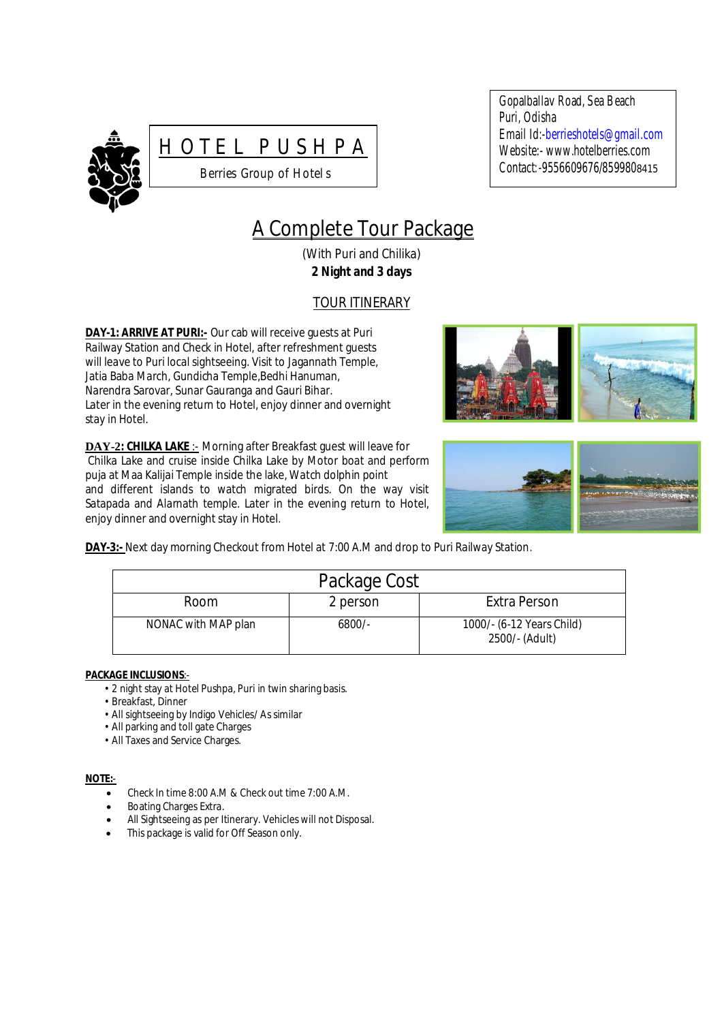



Gopalballav Road, Sea Beach Puri, Odisha Email Id:-berrieshotels@gmail.com Website:- www.hotelberries.com Contact*:-*9556609676/8599808415

# A Complete Tour Package

(With Puri and Chilika) **2 Night and 3 days**

# TOUR ITINERARY

**DAY-1: ARRIVE AT PURI:-** Our cab will receive guests at Puri Railway Station and Check in Hotel, after refreshment guests will leave to Puri local sightseeing. Visit to Jagannath Temple, Jatia Baba March, Gundicha Temple,Bedhi Hanuman, Narendra Sarovar, Sunar Gauranga and Gauri Bihar. Later in the evening return to Hotel, enjoy dinner and overnight stay in Hotel*.*

**DAY-2: CHILKA LAKE** :- Morning after Breakfast guest will leave for Chilka Lake and cruise inside Chilka Lake by Motor boat and perform puja at Maa Kalijai Temple inside the lake, Watch dolphin point and different islands to watch migrated birds. On the way visit Satapada and Alarnath temple. Later in the evening return to Hotel, enjoy dinner and overnight stay in Hotel.





**DAY-3:-** Next day morning Checkout from Hotel at 7:00 A.M and drop to Puri Railway Station.

| Package Cost        |          |                                             |  |
|---------------------|----------|---------------------------------------------|--|
| <b>Room</b>         | 2 person | Extra Person                                |  |
| NONAC with MAP plan | $6800/-$ | 1000/- (6-12 Years Child)<br>2500/- (Adult) |  |

## **PACKAGE INCLUSIONS**:-

- 2 night stay at Hotel Pushpa, Puri in twin sharing basis.
- Breakfast, Dinner
- All sightseeing by Indigo Vehicles/ As similar
- All parking and toll gate Charges
- All Taxes and Service Charges.

## **NOTE:**-

- Check In time 8:00 A.M & Check out time 7:00 A.M.
- Boating Charges Extra.
- All Sightseeing as per Itinerary. Vehicles will not Disposal.
- This package is valid for Off Season only.